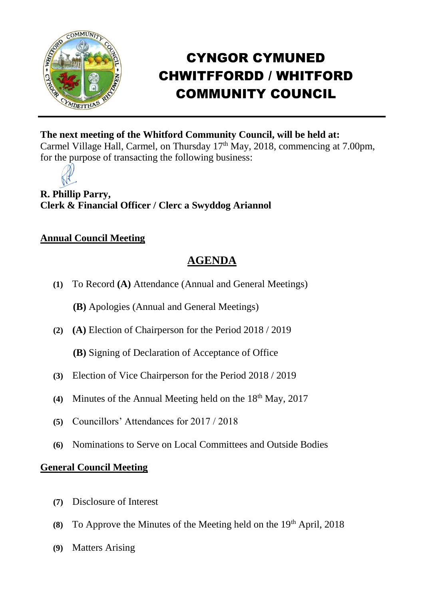

# CYNGOR CYMUNED CHWITFFORDD / WHITFORD COMMUNITY COUNCIL

### **The next meeting of the Whitford Community Council, will be held at:**

Carmel Village Hall, Carmel, on Thursday 17<sup>th</sup> May, 2018, commencing at 7.00pm, for the purpose of transacting the following business:

**R. Phillip Parry, Clerk & Financial Officer / Clerc a Swyddog Ariannol**

#### **Annual Council Meeting**

## **AGENDA**

**(1)** To Record **(A)** Attendance (Annual and General Meetings)

**(B)** Apologies (Annual and General Meetings)

**(2) (A)** Election of Chairperson for the Period 2018 / 2019

**(B)** Signing of Declaration of Acceptance of Office

- **(3)** Election of Vice Chairperson for the Period 2018 / 2019
- (4) Minutes of the Annual Meeting held on the 18<sup>th</sup> May, 2017
- **(5)** Councillors' Attendances for 2017 / 2018
- **(6)** Nominations to Serve on Local Committees and Outside Bodies

#### **General Council Meeting**

- **(7)** Disclosure of Interest
- **(8)** To Approve the Minutes of the Meeting held on the 19th April, 2018
- **(9)** Matters Arising